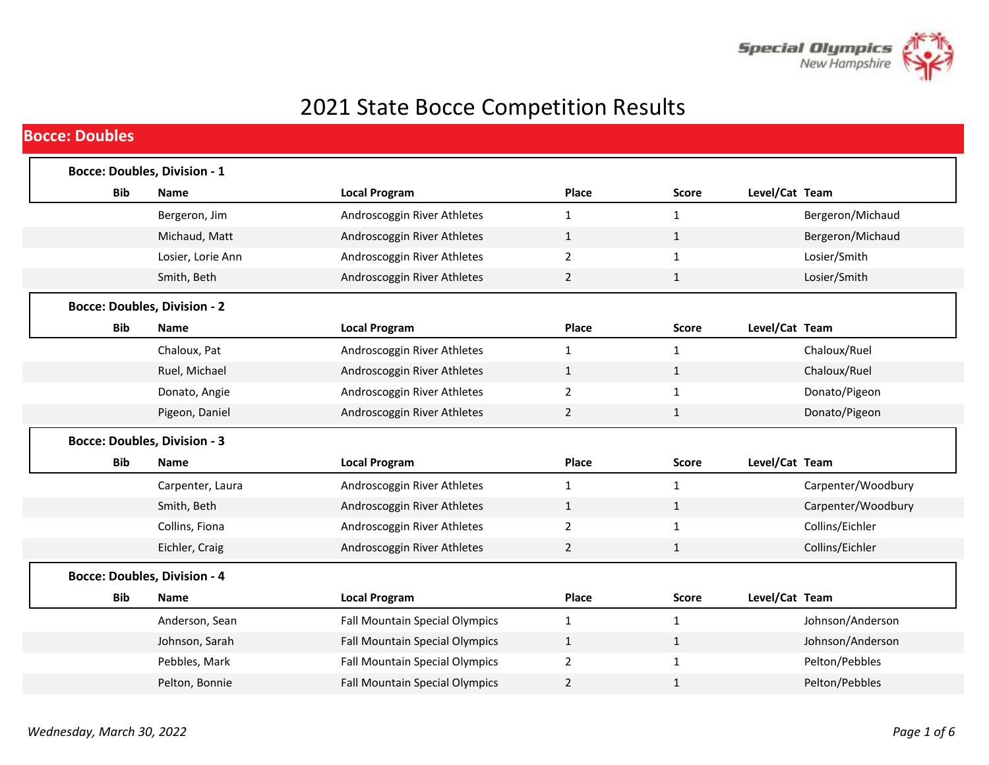

## 2021 State Bocce Competition Results

|            | <b>Bocce: Doubles, Division - 1</b> |                                       |                |              |                    |
|------------|-------------------------------------|---------------------------------------|----------------|--------------|--------------------|
| <b>Bib</b> | <b>Name</b>                         | <b>Local Program</b>                  | Place          | <b>Score</b> | Level/Cat Team     |
|            | Bergeron, Jim                       | Androscoggin River Athletes           | 1              | $\mathbf{1}$ | Bergeron/Michaud   |
|            | Michaud, Matt                       | Androscoggin River Athletes           | $\mathbf{1}$   | $\mathbf{1}$ | Bergeron/Michaud   |
|            | Losier, Lorie Ann                   | Androscoggin River Athletes           | $\overline{2}$ | $\mathbf{1}$ | Losier/Smith       |
|            | Smith, Beth                         | Androscoggin River Athletes           | 2              | $\mathbf{1}$ | Losier/Smith       |
|            | <b>Bocce: Doubles, Division - 2</b> |                                       |                |              |                    |
| Bib        | <b>Name</b>                         | <b>Local Program</b>                  | Place          | <b>Score</b> | Level/Cat Team     |
|            | Chaloux, Pat                        | Androscoggin River Athletes           | 1              | 1            | Chaloux/Ruel       |
|            | Ruel, Michael                       | Androscoggin River Athletes           | $\mathbf{1}$   | $\mathbf{1}$ | Chaloux/Ruel       |
|            | Donato, Angie                       | Androscoggin River Athletes           | 2              | 1            | Donato/Pigeon      |
|            | Pigeon, Daniel                      | Androscoggin River Athletes           | $\overline{2}$ | $\mathbf{1}$ | Donato/Pigeon      |
|            | <b>Bocce: Doubles, Division - 3</b> |                                       |                |              |                    |
| <b>Bib</b> | <b>Name</b>                         | <b>Local Program</b>                  | Place          | <b>Score</b> | Level/Cat Team     |
|            | Carpenter, Laura                    | Androscoggin River Athletes           | $\mathbf{1}$   | $\mathbf{1}$ | Carpenter/Woodbury |
|            | Smith, Beth                         | Androscoggin River Athletes           | $\mathbf{1}$   | $\mathbf{1}$ | Carpenter/Woodbury |
|            | Collins, Fiona                      | Androscoggin River Athletes           | $\overline{2}$ | $\mathbf{1}$ | Collins/Eichler    |
|            | Eichler, Craig                      | Androscoggin River Athletes           | $\overline{2}$ | $\mathbf{1}$ | Collins/Eichler    |
|            | <b>Bocce: Doubles, Division - 4</b> |                                       |                |              |                    |
|            | <b>Name</b>                         | <b>Local Program</b>                  | Place          | <b>Score</b> | Level/Cat Team     |
| <b>Bib</b> |                                     |                                       |                | $\mathbf{1}$ |                    |
|            | Anderson, Sean                      | <b>Fall Mountain Special Olympics</b> | 1              |              | Johnson/Anderson   |
|            | Johnson, Sarah                      | <b>Fall Mountain Special Olympics</b> | $\mathbf{1}$   | $\mathbf{1}$ | Johnson/Anderson   |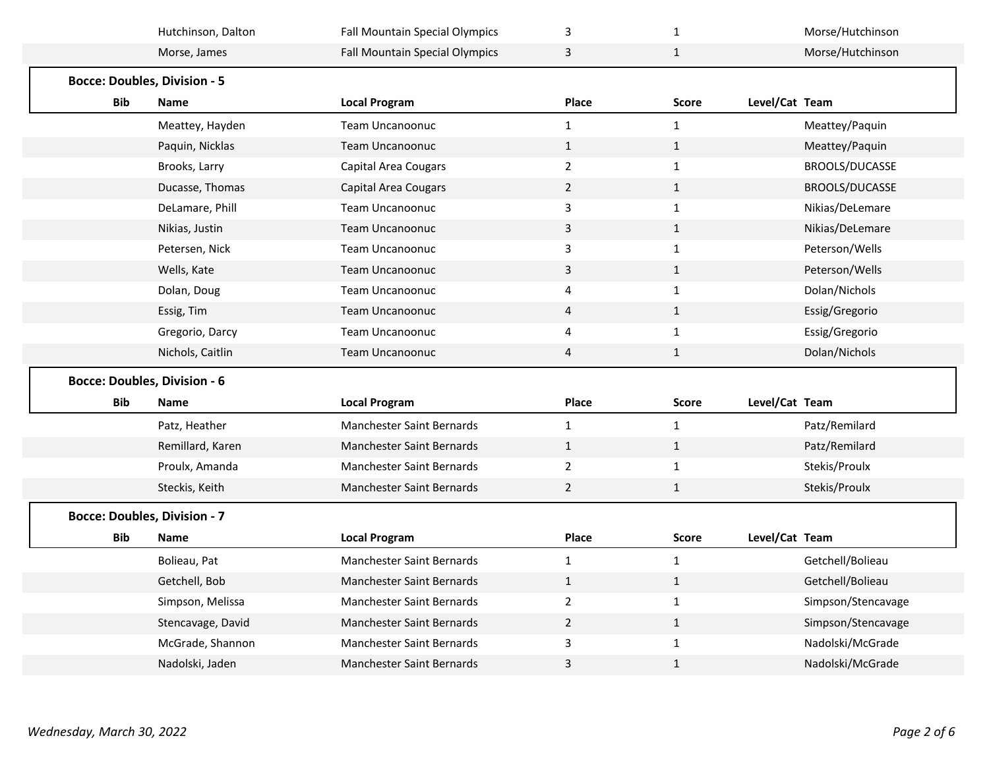|                                     | Hutchinson, Dalton | Fall Mountain Special Olympics   | 3              | 1            |                | Morse/Hutchinson   |
|-------------------------------------|--------------------|----------------------------------|----------------|--------------|----------------|--------------------|
|                                     | Morse, James       | Fall Mountain Special Olympics   | 3              | $\mathbf{1}$ |                | Morse/Hutchinson   |
| <b>Bocce: Doubles, Division - 5</b> |                    |                                  |                |              |                |                    |
| Bib                                 | <b>Name</b>        | <b>Local Program</b>             | Place          | <b>Score</b> | Level/Cat Team |                    |
|                                     | Meattey, Hayden    | <b>Team Uncanoonuc</b>           | 1              | $\mathbf{1}$ |                | Meattey/Paquin     |
|                                     | Paquin, Nicklas    | Team Uncanoonuc                  | $\mathbf{1}$   | $\mathbf{1}$ |                | Meattey/Paquin     |
|                                     | Brooks, Larry      | <b>Capital Area Cougars</b>      | $\overline{2}$ | $\mathbf{1}$ |                | BROOLS/DUCASSE     |
|                                     | Ducasse, Thomas    | <b>Capital Area Cougars</b>      | $\overline{2}$ | $\mathbf{1}$ |                | BROOLS/DUCASSE     |
|                                     | DeLamare, Phill    | <b>Team Uncanoonuc</b>           | 3              | $\mathbf{1}$ |                | Nikias/DeLemare    |
|                                     | Nikias, Justin     | <b>Team Uncanoonuc</b>           | 3              | $\mathbf{1}$ |                | Nikias/DeLemare    |
|                                     | Petersen, Nick     | Team Uncanoonuc                  | 3              | $\mathbf{1}$ |                | Peterson/Wells     |
|                                     | Wells, Kate        | <b>Team Uncanoonuc</b>           | 3              | $\mathbf{1}$ |                | Peterson/Wells     |
|                                     | Dolan, Doug        | Team Uncanoonuc                  | 4              | $\mathbf{1}$ |                | Dolan/Nichols      |
|                                     | Essig, Tim         | Team Uncanoonuc                  | 4              | $\mathbf{1}$ |                | Essig/Gregorio     |
|                                     | Gregorio, Darcy    | Team Uncanoonuc                  | 4              | $\mathbf{1}$ |                | Essig/Gregorio     |
|                                     | Nichols, Caitlin   | Team Uncanoonuc                  | 4              | $\mathbf{1}$ |                | Dolan/Nichols      |
|                                     |                    |                                  |                |              |                |                    |
| <b>Bocce: Doubles, Division - 6</b> |                    |                                  |                |              |                |                    |
| <b>Bib</b>                          | <b>Name</b>        | <b>Local Program</b>             | Place          | <b>Score</b> | Level/Cat Team |                    |
|                                     | Patz, Heather      | <b>Manchester Saint Bernards</b> | $\mathbf{1}$   | $\mathbf{1}$ |                | Patz/Remilard      |
|                                     | Remillard, Karen   | <b>Manchester Saint Bernards</b> | $\mathbf{1}$   | $\mathbf{1}$ |                | Patz/Remilard      |
|                                     | Proulx, Amanda     | Manchester Saint Bernards        | $\overline{2}$ | $\mathbf{1}$ |                | Stekis/Proulx      |
|                                     | Steckis, Keith     | Manchester Saint Bernards        | $\overline{2}$ | $\mathbf{1}$ |                | Stekis/Proulx      |
| <b>Bocce: Doubles, Division - 7</b> |                    |                                  |                |              |                |                    |
| Bib                                 | Name               | <b>Local Program</b>             | Place          | <b>Score</b> | Level/Cat Team |                    |
|                                     | Bolieau, Pat       | Manchester Saint Bernards        | 1              | 1            |                | Getchell/Bolieau   |
|                                     | Getchell, Bob      | Manchester Saint Bernards        | $\mathbf{1}$   | $\mathbf{1}$ |                | Getchell/Bolieau   |
|                                     | Simpson, Melissa   | Manchester Saint Bernards        | $\overline{2}$ | $\mathbf{1}$ |                | Simpson/Stencavage |
|                                     | Stencavage, David  | <b>Manchester Saint Bernards</b> | $\overline{2}$ | $\mathbf{1}$ |                | Simpson/Stencavage |
|                                     | McGrade, Shannon   | Manchester Saint Bernards        | 3              | $\mathbf{1}$ |                | Nadolski/McGrade   |
|                                     | Nadolski, Jaden    | Manchester Saint Bernards        | 3              | $\mathbf{1}$ |                | Nadolski/McGrade   |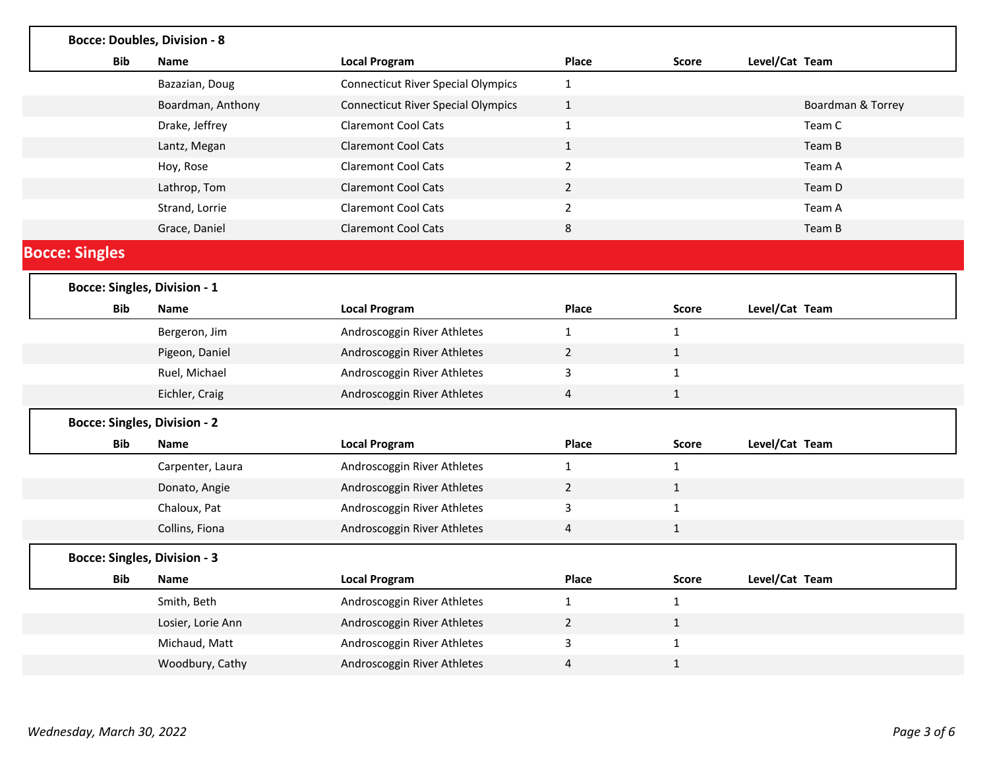|                       | <b>Bocce: Doubles, Division - 8</b> |                                           |                         |              |                   |
|-----------------------|-------------------------------------|-------------------------------------------|-------------------------|--------------|-------------------|
| <b>Bib</b>            | <b>Name</b>                         | <b>Local Program</b>                      | Place                   | <b>Score</b> | Level/Cat Team    |
|                       | Bazazian, Doug                      | <b>Connecticut River Special Olympics</b> | $\mathbf{1}$            |              |                   |
|                       | Boardman, Anthony                   | <b>Connecticut River Special Olympics</b> | $\mathbf{1}$            |              | Boardman & Torrey |
|                       | Drake, Jeffrey                      | <b>Claremont Cool Cats</b>                | $\mathbf{1}$            |              | Team C            |
|                       | Lantz, Megan                        | <b>Claremont Cool Cats</b>                | $\mathbf{1}$            |              | Team B            |
|                       | Hoy, Rose                           | <b>Claremont Cool Cats</b>                | $\overline{2}$          |              | Team A            |
|                       | Lathrop, Tom                        | <b>Claremont Cool Cats</b>                | $\overline{2}$          |              | Team D            |
|                       | Strand, Lorrie                      | <b>Claremont Cool Cats</b>                | $\overline{2}$          |              | Team A            |
|                       | Grace, Daniel                       | <b>Claremont Cool Cats</b>                | 8                       |              | Team B            |
| <b>Bocce: Singles</b> |                                     |                                           |                         |              |                   |
|                       | <b>Bocce: Singles, Division - 1</b> |                                           |                         |              |                   |
| <b>Bib</b>            | Name                                | <b>Local Program</b>                      | Place                   | <b>Score</b> | Level/Cat Team    |
|                       | Bergeron, Jim                       | Androscoggin River Athletes               | $\mathbf{1}$            | $\mathbf{1}$ |                   |
|                       | Pigeon, Daniel                      | Androscoggin River Athletes               | $\overline{2}$          | $\mathbf{1}$ |                   |
|                       | Ruel, Michael                       | Androscoggin River Athletes               | 3                       | $\mathbf{1}$ |                   |
|                       | Eichler, Craig                      | Androscoggin River Athletes               | $\overline{4}$          | $\mathbf{1}$ |                   |
|                       | <b>Bocce: Singles, Division - 2</b> |                                           |                         |              |                   |
| Bib                   | <b>Name</b>                         | <b>Local Program</b>                      | Place                   | <b>Score</b> | Level/Cat Team    |
|                       | Carpenter, Laura                    | Androscoggin River Athletes               | $\mathbf{1}$            | $\mathbf{1}$ |                   |
|                       | Donato, Angie                       | Androscoggin River Athletes               | $\overline{2}$          | 1            |                   |
|                       | Chaloux, Pat                        | Androscoggin River Athletes               | 3                       | $\mathbf 1$  |                   |
|                       | Collins, Fiona                      | Androscoggin River Athletes               | $\overline{\mathbf{4}}$ | $\mathbf{1}$ |                   |
|                       | <b>Bocce: Singles, Division - 3</b> |                                           |                         |              |                   |
| <b>Bib</b>            | Name                                | <b>Local Program</b>                      | Place                   | <b>Score</b> | Level/Cat Team    |
|                       | Smith, Beth                         | Androscoggin River Athletes               | $\mathbf{1}$            | $\mathbf{1}$ |                   |
|                       | Losier, Lorie Ann                   | Androscoggin River Athletes               | $\overline{2}$          | $\mathbf{1}$ |                   |
|                       | Michaud, Matt                       | Androscoggin River Athletes               | 3                       | $\mathbf{1}$ |                   |
|                       | Woodbury, Cathy                     | Androscoggin River Athletes               | $\overline{4}$          | $\mathbf{1}$ |                   |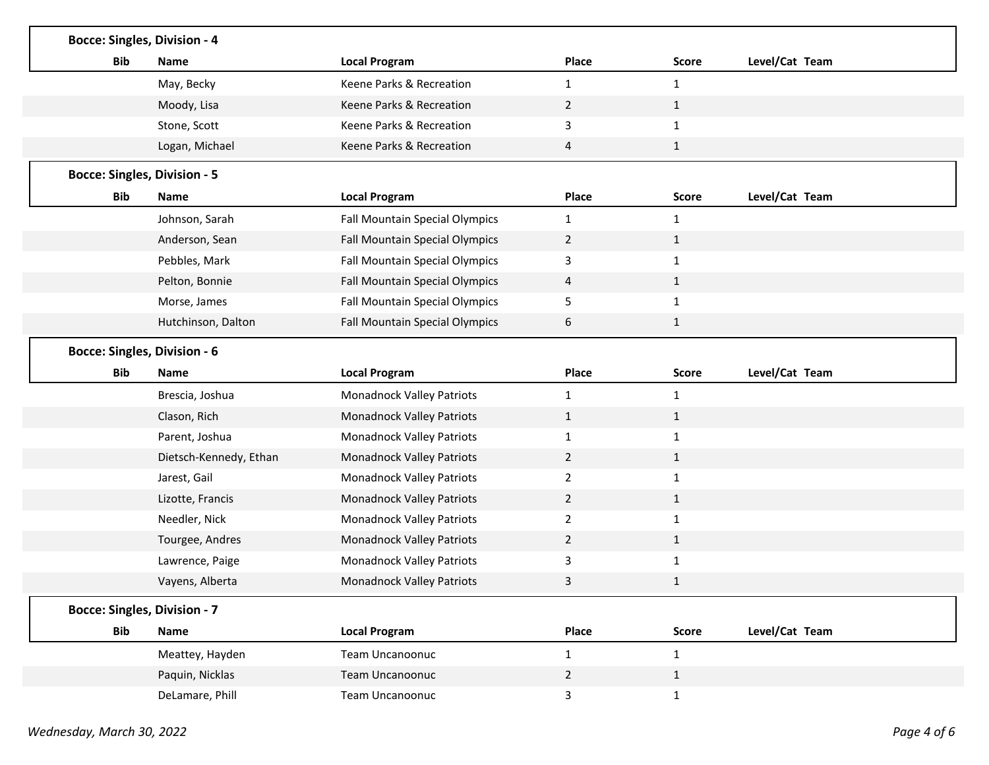|            | <b>Bocce: Singles, Division - 4</b> |                                       |                |              |                |
|------------|-------------------------------------|---------------------------------------|----------------|--------------|----------------|
| Bib        | <b>Name</b>                         | <b>Local Program</b>                  | Place          | <b>Score</b> | Level/Cat Team |
|            | May, Becky                          | Keene Parks & Recreation              | $\mathbf{1}$   | 1            |                |
|            | Moody, Lisa                         | Keene Parks & Recreation              | $\overline{2}$ | $\mathbf{1}$ |                |
|            | Stone, Scott                        | Keene Parks & Recreation              | 3              | $\mathbf{1}$ |                |
|            | Logan, Michael                      | Keene Parks & Recreation              | 4              | $\mathbf{1}$ |                |
|            | <b>Bocce: Singles, Division - 5</b> |                                       |                |              |                |
| Bib        | <b>Name</b>                         | <b>Local Program</b>                  | Place          | <b>Score</b> | Level/Cat Team |
|            | Johnson, Sarah                      | <b>Fall Mountain Special Olympics</b> | $\mathbf{1}$   | $\mathbf{1}$ |                |
|            | Anderson, Sean                      | Fall Mountain Special Olympics        | $\overline{2}$ | $\mathbf{1}$ |                |
|            | Pebbles, Mark                       | Fall Mountain Special Olympics        | 3              | 1            |                |
|            | Pelton, Bonnie                      | Fall Mountain Special Olympics        | 4              | $\mathbf{1}$ |                |
|            | Morse, James                        | Fall Mountain Special Olympics        | 5              | 1            |                |
|            | Hutchinson, Dalton                  | <b>Fall Mountain Special Olympics</b> | 6              | $\mathbf{1}$ |                |
|            | <b>Bocce: Singles, Division - 6</b> |                                       |                |              |                |
| Bib        | <b>Name</b>                         | <b>Local Program</b>                  | Place          | Score        | Level/Cat Team |
|            | Brescia, Joshua                     | Monadnock Valley Patriots             | 1              | 1            |                |
|            | Clason, Rich                        | Monadnock Valley Patriots             | $\mathbf{1}$   | $\mathbf{1}$ |                |
|            | Parent, Joshua                      | Monadnock Valley Patriots             | $\mathbf{1}$   | $\mathbf{1}$ |                |
|            | Dietsch-Kennedy, Ethan              |                                       |                |              |                |
|            |                                     | Monadnock Valley Patriots             | $\overline{2}$ | $\mathbf{1}$ |                |
|            | Jarest, Gail                        | Monadnock Valley Patriots             | $\overline{2}$ | $\mathbf{1}$ |                |
|            | Lizotte, Francis                    | Monadnock Valley Patriots             | $\overline{2}$ | $\mathbf{1}$ |                |
|            | Needler, Nick                       | Monadnock Valley Patriots             | $\overline{2}$ | $\mathbf{1}$ |                |
|            | Tourgee, Andres                     | Monadnock Valley Patriots             | $\overline{2}$ | $\mathbf{1}$ |                |
|            | Lawrence, Paige                     | Monadnock Valley Patriots             | 3              | 1            |                |
|            | Vayens, Alberta                     | <b>Monadnock Valley Patriots</b>      | 3              | 1            |                |
|            | <b>Bocce: Singles, Division - 7</b> |                                       |                |              |                |
| <b>Bib</b> | Name                                | <b>Local Program</b>                  | Place          | <b>Score</b> | Level/Cat Team |
|            | Meattey, Hayden                     | Team Uncanoonuc                       | $\mathbf{1}$   | $\mathbf{1}$ |                |
|            | Paquin, Nicklas                     | Team Uncanoonuc                       | $\overline{2}$ | $\mathbf{1}$ |                |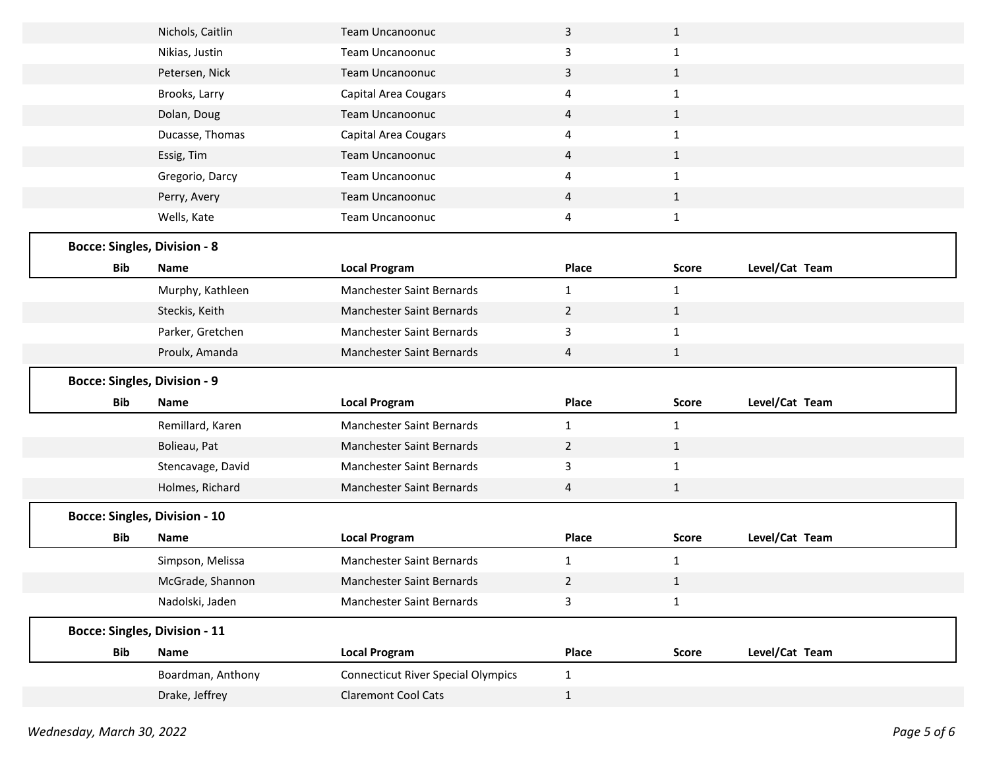|                                      | Nichols, Caitlin  | <b>Team Uncanoonuc</b>                    | 3              | $\mathbf{1}$ |                |
|--------------------------------------|-------------------|-------------------------------------------|----------------|--------------|----------------|
|                                      | Nikias, Justin    | Team Uncanoonuc                           | 3              | $\mathbf{1}$ |                |
|                                      | Petersen, Nick    | Team Uncanoonuc                           | 3              | $\mathbf{1}$ |                |
|                                      | Brooks, Larry     | Capital Area Cougars                      | 4              | $\mathbf{1}$ |                |
|                                      | Dolan, Doug       | Team Uncanoonuc                           | 4              | $\mathbf{1}$ |                |
|                                      | Ducasse, Thomas   | Capital Area Cougars                      | 4              | $\mathbf{1}$ |                |
|                                      | Essig, Tim        | Team Uncanoonuc                           | 4              | $\mathbf{1}$ |                |
|                                      | Gregorio, Darcy   | Team Uncanoonuc                           | 4              | $\mathbf{1}$ |                |
|                                      | Perry, Avery      | <b>Team Uncanoonuc</b>                    | 4              | $\mathbf{1}$ |                |
|                                      | Wells, Kate       | Team Uncanoonuc                           | 4              | $\mathbf{1}$ |                |
| <b>Bocce: Singles, Division - 8</b>  |                   |                                           |                |              |                |
| <b>Bib</b>                           | <b>Name</b>       | <b>Local Program</b>                      | Place          | <b>Score</b> | Level/Cat Team |
|                                      | Murphy, Kathleen  | Manchester Saint Bernards                 | $\mathbf{1}$   | $\mathbf{1}$ |                |
|                                      | Steckis, Keith    | Manchester Saint Bernards                 | $\overline{2}$ | $\mathbf{1}$ |                |
|                                      | Parker, Gretchen  | Manchester Saint Bernards                 | 3              | $\mathbf{1}$ |                |
|                                      | Proulx, Amanda    | Manchester Saint Bernards                 | 4              | $\mathbf{1}$ |                |
| <b>Bocce: Singles, Division - 9</b>  |                   |                                           |                |              |                |
| <b>Bib</b>                           | <b>Name</b>       | <b>Local Program</b>                      | Place          | <b>Score</b> | Level/Cat Team |
|                                      | Remillard, Karen  | Manchester Saint Bernards                 | $\mathbf{1}$   |              |                |
|                                      |                   |                                           |                | $\mathbf{1}$ |                |
|                                      | Bolieau, Pat      | Manchester Saint Bernards                 | $\overline{2}$ | $\mathbf{1}$ |                |
|                                      | Stencavage, David | Manchester Saint Bernards                 | 3              | $\mathbf{1}$ |                |
|                                      | Holmes, Richard   | Manchester Saint Bernards                 | 4              | $\mathbf{1}$ |                |
| <b>Bocce: Singles, Division - 10</b> |                   |                                           |                |              |                |
| <b>Bib</b>                           | Name              | <b>Local Program</b>                      | Place          | <b>Score</b> | Level/Cat Team |
|                                      | Simpson, Melissa  | Manchester Saint Bernards                 | 1              | 1            |                |
|                                      | McGrade, Shannon  | Manchester Saint Bernards                 | $\overline{2}$ | $\mathbf{1}$ |                |
|                                      | Nadolski, Jaden   | Manchester Saint Bernards                 | 3              | $\mathbf{1}$ |                |
| <b>Bocce: Singles, Division - 11</b> |                   |                                           |                |              |                |
| <b>Bib</b>                           | Name              | <b>Local Program</b>                      | Place          | Score        | Level/Cat Team |
|                                      | Boardman, Anthony | <b>Connecticut River Special Olympics</b> | $\mathbf{1}$   |              |                |